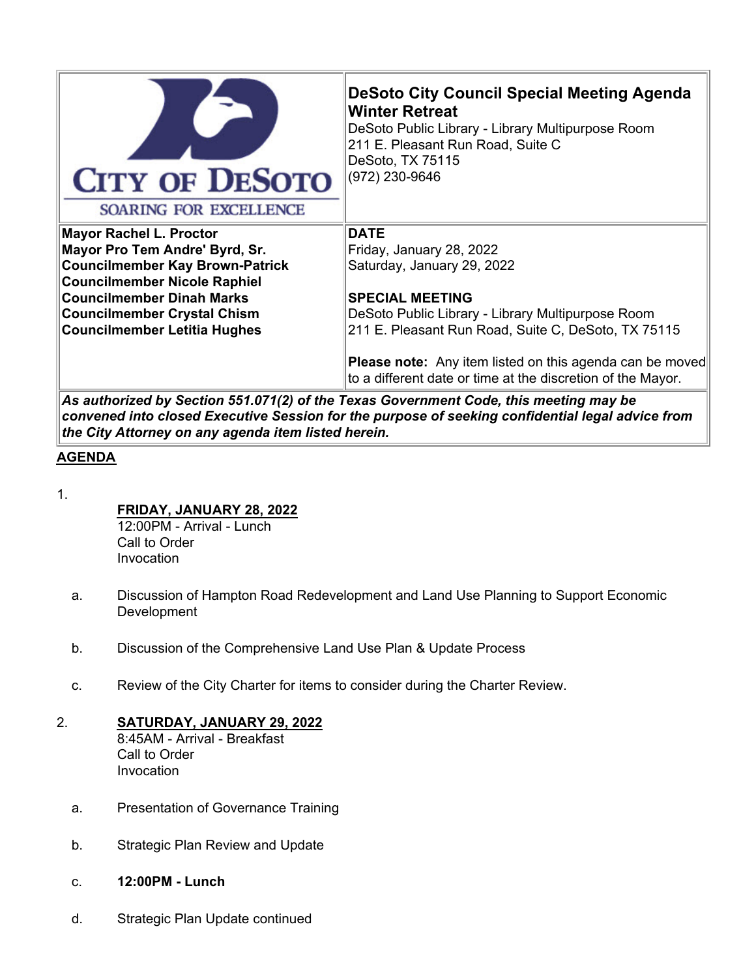

**Mayor Rachel L. Proctor**

**Mayor Pro Tem Andre' Byrd, Sr. Councilmember Kay Brown-Patrick Councilmember Nicole Raphiel Councilmember Dinah Marks Councilmember Crystal Chism Councilmember Letitia Hughes**

# **DeSoto City Council Special Meeting Agenda Winter Retreat**

DeSoto Public Library - Library Multipurpose Room 211 E. Pleasant Run Road, Suite C DeSoto, TX 75115 (972) 230-9646

## **DATE**

Friday, January 28, 2022 Saturday, January 29, 2022

#### **SPECIAL MEETING**

DeSoto Public Library - Library Multipurpose Room 211 E. Pleasant Run Road, Suite C, DeSoto, TX 75115

**Please note:** Any item listed on this agenda can be moved to a different date or time at the discretion of the Mayor.

*As authorized by Section 551.071(2) of the Texas Government Code, this meeting may be convened into closed Executive Session for the purpose of seeking confidential legal advice from the City Attorney on any agenda item listed herein.*

## **AGENDA**

1.

## **FRIDAY, JANUARY 28, 2022**

12:00PM - Arrival - Lunch Call to Order Invocation

- a. Discussion of Hampton Road Redevelopment and Land Use Planning to Support Economic **Development**
- b. Discussion of the Comprehensive Land Use Plan & Update Process
- c. Review of the City Charter for items to consider during the Charter Review.
- 2. **SATURDAY, JANUARY 29, 2022** 8:45AM - Arrival - Breakfast

Call to Order Invocation

- a. Presentation of Governance Training
- b. Strategic Plan Review and Update
- c. **12:00PM Lunch**
- d. Strategic Plan Update continued